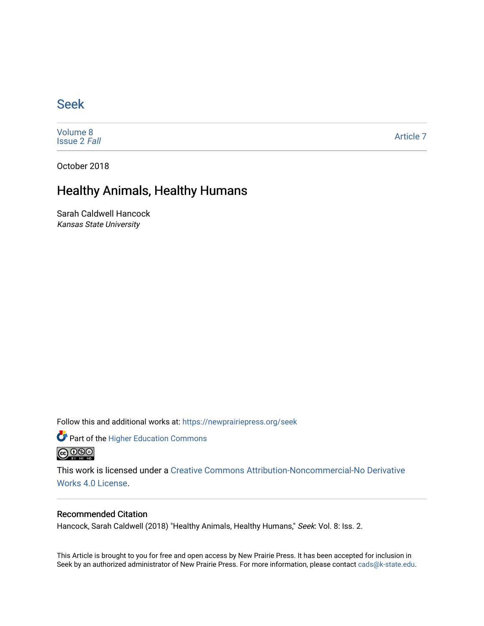### [Seek](https://newprairiepress.org/seek)

[Volume 8](https://newprairiepress.org/seek/vol8) [Issue 2](https://newprairiepress.org/seek/vol8/iss2) Fall

[Article 7](https://newprairiepress.org/seek/vol8/iss2/7) 

October 2018

## Healthy Animals, Healthy Humans

Sarah Caldwell Hancock Kansas State University

Follow this and additional works at: [https://newprairiepress.org/seek](https://newprairiepress.org/seek?utm_source=newprairiepress.org%2Fseek%2Fvol8%2Fiss2%2F7&utm_medium=PDF&utm_campaign=PDFCoverPages)

Part of the [Higher Education Commons](http://network.bepress.com/hgg/discipline/1245?utm_source=newprairiepress.org%2Fseek%2Fvol8%2Fiss2%2F7&utm_medium=PDF&utm_campaign=PDFCoverPages) 



This work is licensed under a [Creative Commons Attribution-Noncommercial-No Derivative](https://creativecommons.org/licenses/by-nc-nd/4.0/)  [Works 4.0 License](https://creativecommons.org/licenses/by-nc-nd/4.0/).

### Recommended Citation

Hancock, Sarah Caldwell (2018) "Healthy Animals, Healthy Humans," Seek: Vol. 8: Iss. 2.

This Article is brought to you for free and open access by New Prairie Press. It has been accepted for inclusion in Seek by an authorized administrator of New Prairie Press. For more information, please contact [cads@k-state.edu](mailto:cads@k-state.edu).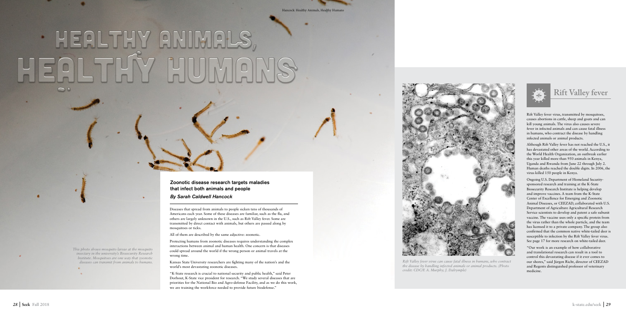Diseases that spread from animals to people sicken tens of thousands of Americans each year. Some of these diseases are familiar, such as the flu, and others are largely unknown in the U.S., such as Rift Valley fever. Some are transmitted by direct contact with animals, but others are passed along by mosquitoes or ticks.

All of them are described by the same adjective: zoonotic.

Protecting humans from zoonotic diseases requires understanding the complex interactions between animal and human health. One concern is that diseases could spread around the world if the wrong person or animal travels at the wrong time.

Kansas State University researchers are fighting many of the nation's and the world's most devastating zoonotic diseases.

"K-State research is crucial to national security and public health," said Peter Dorhout, K-State vice president for research. "We study several diseases that are priorities for the National Bio and Agro-defense Facility, and as we do this work, we are training the workforce needed to provide future biodefense."

Rift Valley fever virus, transmitted by mosquitoes, causes abortions in cattle, sheep and goats and can kill young animals. The virus also causes severe fever in infected animals and can cause fatal illness in humans, who contract the disease by handling infected animals or animal products.

Although Rift Valley fever has not reached the U.S., it has devastated other areas of the world. According to the World Health Organization, an outbreak earlier this year killed more than 950 animals in Kenya, Uganda and Rwanda from June 22 through July 2. Human deaths reached the double digits. In 2006, the virus killed 150 people in Kenya.

Ongoing U.S. Department of Homeland Securitysponsored research and training at the K-State Biosecurity Research Institute is helping develop and improve vaccines. A team from the K-State Center of Excellence for Emerging and Zoonotic Animal Diseases, or CEEZAD, collaborated with U.S. Department of Agriculture Agricultural Research Service scientists to develop and patent a safe subunit vaccine. The vaccine uses only a specific protein from the virus rather than the whole particle, and the team has licensed it to a private company. The group also confirmed that the common native white-tailed deer is susceptible to infection by the Rift Valley fever virus. See page 17 for more research on white-tailed deer.

"Our work is an example of how collaborative and translational research can result in a tool to control this devastating disease if it ever comes to our shores," said Jürgen Richt, director of CEEZAD and Regents distinguished professor of veterinary medicine.

# **Rift Valley fever**



*Rift Valley fever virus can cause fatal illness in humans, who contract the disease by handling infected animals or animal products. (Photo credit: CDC/F. A. Murphy; J. Dalrymple)*



Zoonotic disease research targets maladies that infect both animals and people

*By Sarah Caldwell Hancock*

*This photo shows mosquito larvae at the mosquito insectary in the university's Biosecurity Research Institute. Mosquitoes are one way that zoonotic diseases can transmit from animals to humans.* 

# **. HEALTHY ANIMAL**  $\circ$